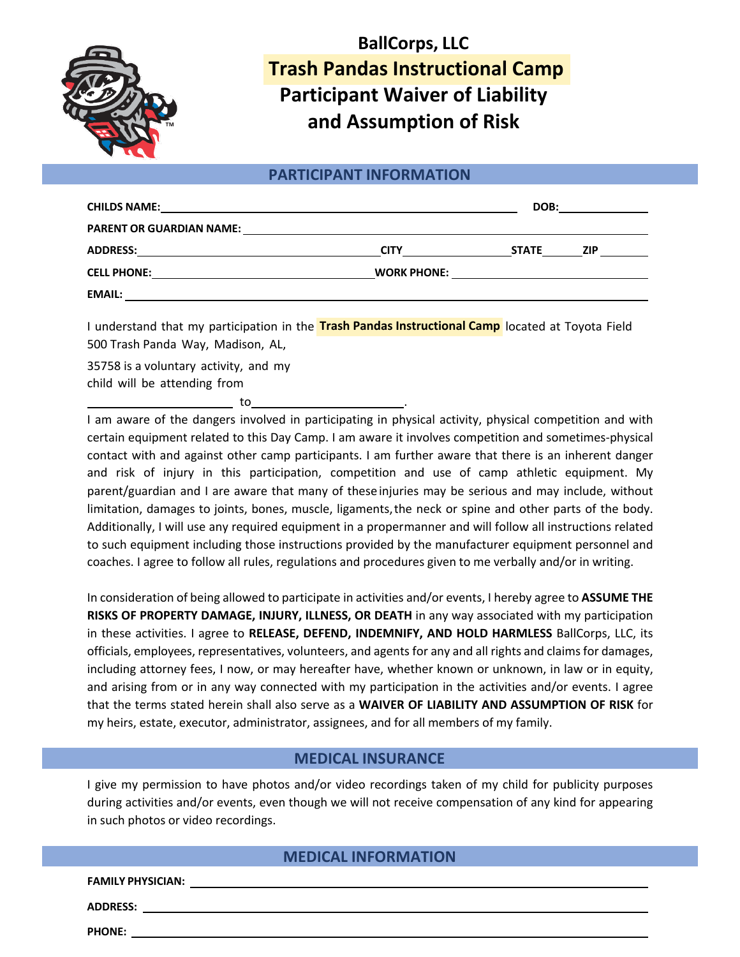

# **BallCorps, LLC Participant Waiver of Liability and Assumption of Risk Trash Pandas Instructional Camp**

## **PARTICIPANT INFORMATION**

| <b>CHILDS NAME:</b>             |                    | DOB:         |            |  |
|---------------------------------|--------------------|--------------|------------|--|
| <b>PARENT OR GUARDIAN NAME:</b> |                    |              |            |  |
| <b>ADDRESS:</b>                 | <b>CITY</b>        | <b>STATE</b> | <b>ZIP</b> |  |
| <b>CELL PHONE:</b>              | <b>WORK PHONE:</b> |              |            |  |
| <b>EMAIL:</b>                   |                    |              |            |  |

I understand that my participation in the *Trash Pandas Instructional Camp* located at Toyota Field 500 Trash Panda Way, Madison, AL,

35758 is a voluntary activity, and my child will be attending from

 $\overline{\phantom{a}}$  to  $\overline{\phantom{a}}$ 

I am aware of the dangers involved in participating in physical activity, physical competition and with certain equipment related to this Day Camp. I am aware it involves competition and sometimes-physical contact with and against other camp participants. I am further aware that there is an inherent danger and risk of injury in this participation, competition and use of camp athletic equipment. My parent/guardian and I are aware that many of these injuries may be serious and may include, without limitation, damages to joints, bones, muscle, ligaments,the neck or spine and other parts of the body. Additionally, I will use any required equipment in a propermanner and will follow all instructions related to such equipment including those instructions provided by the manufacturer equipment personnel and coaches. I agree to follow all rules, regulations and procedures given to me verbally and/or in writing.

In consideration of being allowed to participate in activities and/or events, I hereby agree to **ASSUME THE RISKS OF PROPERTY DAMAGE, INJURY, ILLNESS, OR DEATH** in any way associated with my participation in these activities. I agree to **RELEASE, DEFEND, INDEMNIFY, AND HOLD HARMLESS** BallCorps, LLC, its officials, employees, representatives, volunteers, and agents for any and all rights and claims for damages, including attorney fees, I now, or may hereafter have, whether known or unknown, in law or in equity, and arising from or in any way connected with my participation in the activities and/or events. I agree that the terms stated herein shall also serve as a **WAIVER OF LIABILITY AND ASSUMPTION OF RISK** for my heirs, estate, executor, administrator, assignees, and for all members of my family.

## **MEDICAL INSURANCE**

I give my permission to have photos and/or video recordings taken of my child for publicity purposes during activities and/or events, even though we will not receive compensation of any kind for appearing in such photos or video recordings.

### **MEDICAL INFORMATION**

**FAMILY PHYSICIAN:** 

**ADDRESS:** 

**PHONE:**